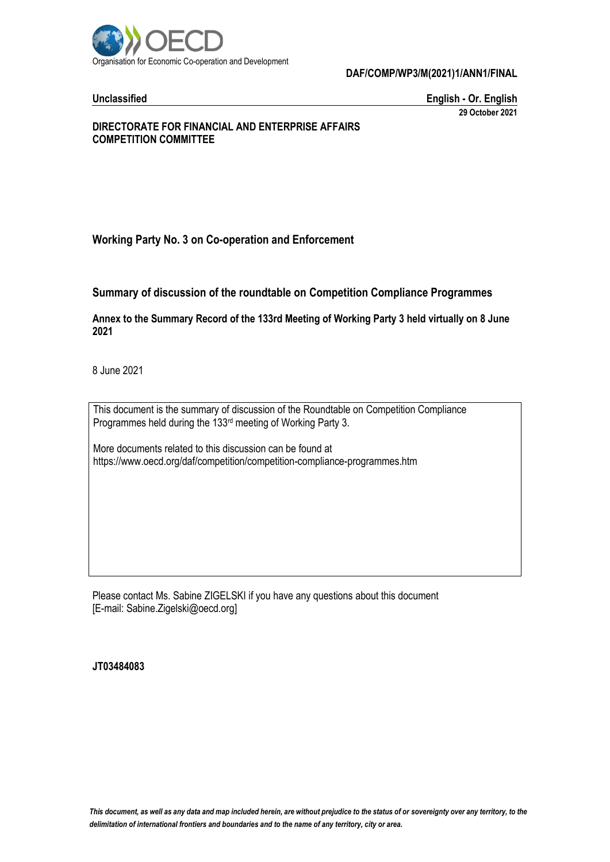

**Unclassified English - Or. English 29 October 2021**

# **DIRECTORATE FOR FINANCIAL AND ENTERPRISE AFFAIRS COMPETITION COMMITTEE**

**Working Party No. 3 on Co-operation and Enforcement**

**Summary of discussion of the roundtable on Competition Compliance Programmes**

**Annex to the Summary Record of the 133rd Meeting of Working Party 3 held virtually on 8 June 2021**

8 June 2021

This document is the summary of discussion of the Roundtable on Competition Compliance Programmes held during the 133rd meeting of Working Party 3.

More documents related to this discussion can be found at https://www.oecd.org/daf/competition/competition-compliance-programmes.htm

Please contact Ms. Sabine ZIGELSKI if you have any questions about this document [E-mail: Sabine.Zigelski@oecd.org]

# **JT03484083**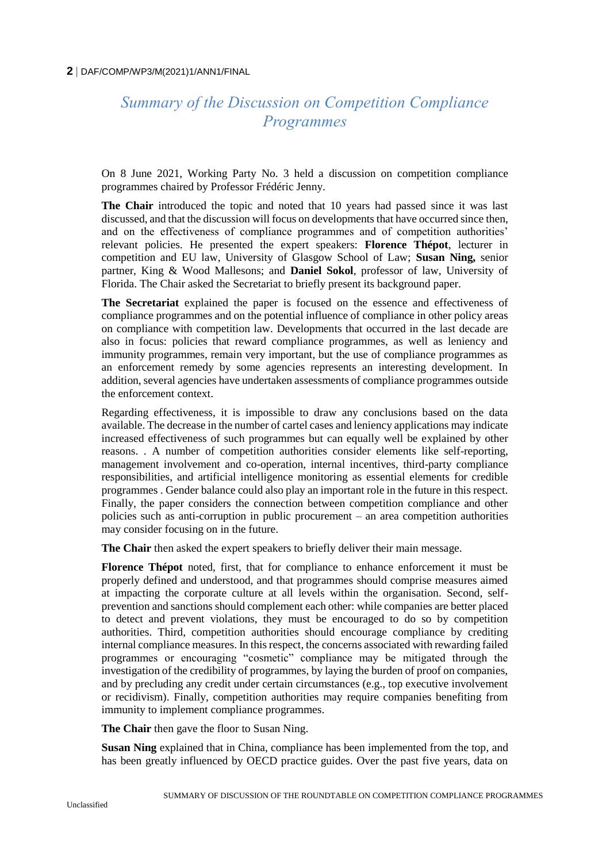# *Summary of the Discussion on Competition Compliance Programmes*

On 8 June 2021, Working Party No. 3 held a discussion on competition compliance programmes chaired by Professor Frédéric Jenny.

**The Chair** introduced the topic and noted that 10 years had passed since it was last discussed, and that the discussion will focus on developments that have occurred since then, and on the effectiveness of compliance programmes and of competition authorities' relevant policies. He presented the expert speakers: **Florence Thépot**, lecturer in competition and EU law, University of Glasgow School of Law; **Susan Ning,** senior partner, King & Wood Mallesons; and **Daniel Sokol**, professor of law, University of Florida. The Chair asked the Secretariat to briefly present its background paper.

**The Secretariat** explained the paper is focused on the essence and effectiveness of compliance programmes and on the potential influence of compliance in other policy areas on compliance with competition law. Developments that occurred in the last decade are also in focus: policies that reward compliance programmes, as well as leniency and immunity programmes, remain very important, but the use of compliance programmes as an enforcement remedy by some agencies represents an interesting development. In addition, several agencies have undertaken assessments of compliance programmes outside the enforcement context.

Regarding effectiveness, it is impossible to draw any conclusions based on the data available. The decrease in the number of cartel cases and leniency applications may indicate increased effectiveness of such programmes but can equally well be explained by other reasons. . A number of competition authorities consider elements like self-reporting, management involvement and co-operation, internal incentives, third-party compliance responsibilities, and artificial intelligence monitoring as essential elements for credible programmes . Gender balance could also play an important role in the future in this respect. Finally, the paper considers the connection between competition compliance and other policies such as anti-corruption in public procurement – an area competition authorities may consider focusing on in the future.

**The Chair** then asked the expert speakers to briefly deliver their main message.

**Florence Thépot** noted, first, that for compliance to enhance enforcement it must be properly defined and understood, and that programmes should comprise measures aimed at impacting the corporate culture at all levels within the organisation. Second, selfprevention and sanctions should complement each other: while companies are better placed to detect and prevent violations, they must be encouraged to do so by competition authorities. Third, competition authorities should encourage compliance by crediting internal compliance measures. In this respect, the concerns associated with rewarding failed programmes or encouraging "cosmetic" compliance may be mitigated through the investigation of the credibility of programmes, by laying the burden of proof on companies, and by precluding any credit under certain circumstances (e.g., top executive involvement or recidivism). Finally, competition authorities may require companies benefiting from immunity to implement compliance programmes.

**The Chair** then gave the floor to Susan Ning.

**Susan Ning** explained that in China, compliance has been implemented from the top, and has been greatly influenced by OECD practice guides. Over the past five years, data on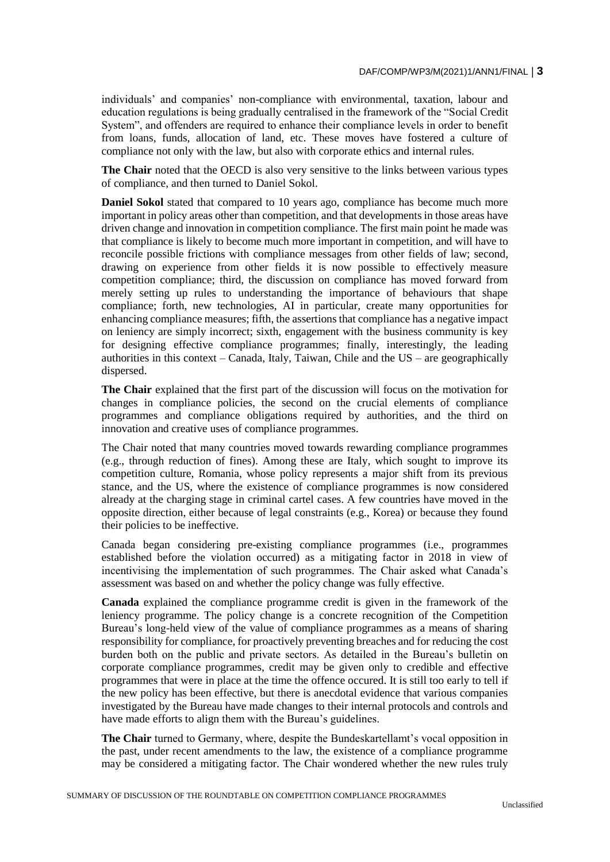individuals' and companies' non-compliance with environmental, taxation, labour and education regulations is being gradually centralised in the framework of the "Social Credit System", and offenders are required to enhance their compliance levels in order to benefit from loans, funds, allocation of land, etc. These moves have fostered a culture of compliance not only with the law, but also with corporate ethics and internal rules.

**The Chair** noted that the OECD is also very sensitive to the links between various types of compliance, and then turned to Daniel Sokol.

**Daniel Sokol** stated that compared to 10 years ago, compliance has become much more important in policy areas other than competition, and that developments in those areas have driven change and innovation in competition compliance. The first main point he made was that compliance is likely to become much more important in competition, and will have to reconcile possible frictions with compliance messages from other fields of law; second, drawing on experience from other fields it is now possible to effectively measure competition compliance; third, the discussion on compliance has moved forward from merely setting up rules to understanding the importance of behaviours that shape compliance; forth, new technologies, AI in particular, create many opportunities for enhancing compliance measures; fifth, the assertions that compliance has a negative impact on leniency are simply incorrect; sixth, engagement with the business community is key for designing effective compliance programmes; finally, interestingly, the leading authorities in this context – Canada, Italy, Taiwan, Chile and the  $US -$  are geographically dispersed.

**The Chair** explained that the first part of the discussion will focus on the motivation for changes in compliance policies, the second on the crucial elements of compliance programmes and compliance obligations required by authorities, and the third on innovation and creative uses of compliance programmes.

The Chair noted that many countries moved towards rewarding compliance programmes (e.g., through reduction of fines). Among these are Italy, which sought to improve its competition culture, Romania, whose policy represents a major shift from its previous stance, and the US, where the existence of compliance programmes is now considered already at the charging stage in criminal cartel cases. A few countries have moved in the opposite direction, either because of legal constraints (e.g., Korea) or because they found their policies to be ineffective.

Canada began considering pre-existing compliance programmes (i.e., programmes established before the violation occurred) as a mitigating factor in 2018 in view of incentivising the implementation of such programmes. The Chair asked what Canada's assessment was based on and whether the policy change was fully effective.

**Canada** explained the compliance programme credit is given in the framework of the leniency programme. The policy change is a concrete recognition of the Competition Bureau's long-held view of the value of compliance programmes as a means of sharing responsibility for compliance, for proactively preventing breaches and for reducing the cost burden both on the public and private sectors. As detailed in the Bureau's bulletin on corporate compliance programmes, credit may be given only to credible and effective programmes that were in place at the time the offence occured. It is still too early to tell if the new policy has been effective, but there is anecdotal evidence that various companies investigated by the Bureau have made changes to their internal protocols and controls and have made efforts to align them with the Bureau's guidelines.

**The Chair** turned to Germany, where, despite the Bundeskartellamt's vocal opposition in the past, under recent amendments to the law, the existence of a compliance programme may be considered a mitigating factor. The Chair wondered whether the new rules truly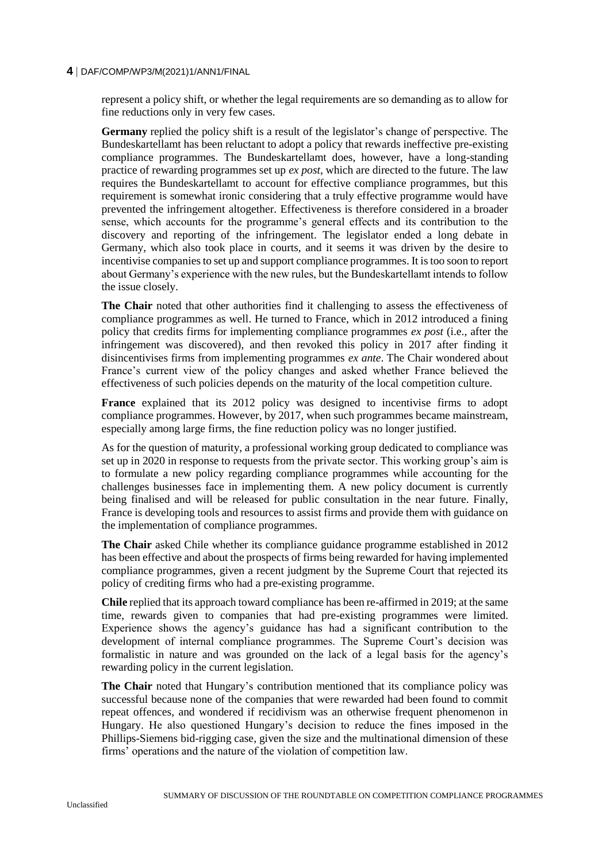represent a policy shift, or whether the legal requirements are so demanding as to allow for fine reductions only in very few cases.

**Germany** replied the policy shift is a result of the legislator's change of perspective. The Bundeskartellamt has been reluctant to adopt a policy that rewards ineffective pre-existing compliance programmes. The Bundeskartellamt does, however, have a long-standing practice of rewarding programmes set up *ex post*, which are directed to the future. The law requires the Bundeskartellamt to account for effective compliance programmes, but this requirement is somewhat ironic considering that a truly effective programme would have prevented the infringement altogether. Effectiveness is therefore considered in a broader sense, which accounts for the programme's general effects and its contribution to the discovery and reporting of the infringement. The legislator ended a long debate in Germany, which also took place in courts, and it seems it was driven by the desire to incentivise companies to set up and support compliance programmes. It is too soon to report about Germany's experience with the new rules, but the Bundeskartellamt intends to follow the issue closely.

**The Chair** noted that other authorities find it challenging to assess the effectiveness of compliance programmes as well. He turned to France, which in 2012 introduced a fining policy that credits firms for implementing compliance programmes *ex post* (i.e., after the infringement was discovered), and then revoked this policy in 2017 after finding it disincentivises firms from implementing programmes *ex ante*. The Chair wondered about France's current view of the policy changes and asked whether France believed the effectiveness of such policies depends on the maturity of the local competition culture.

**France** explained that its 2012 policy was designed to incentivise firms to adopt compliance programmes. However, by 2017, when such programmes became mainstream, especially among large firms, the fine reduction policy was no longer justified.

As for the question of maturity, a professional working group dedicated to compliance was set up in 2020 in response to requests from the private sector. This working group's aim is to formulate a new policy regarding compliance programmes while accounting for the challenges businesses face in implementing them. A new policy document is currently being finalised and will be released for public consultation in the near future. Finally, France is developing tools and resources to assist firms and provide them with guidance on the implementation of compliance programmes.

**The Chair** asked Chile whether its compliance guidance programme established in 2012 has been effective and about the prospects of firms being rewarded for having implemented compliance programmes, given a recent judgment by the Supreme Court that rejected its policy of crediting firms who had a pre-existing programme.

**Chile** replied that its approach toward compliance has been re-affirmed in 2019; at the same time, rewards given to companies that had pre-existing programmes were limited. Experience shows the agency's guidance has had a significant contribution to the development of internal compliance programmes. The Supreme Court's decision was formalistic in nature and was grounded on the lack of a legal basis for the agency's rewarding policy in the current legislation.

**The Chair** noted that Hungary's contribution mentioned that its compliance policy was successful because none of the companies that were rewarded had been found to commit repeat offences, and wondered if recidivism was an otherwise frequent phenomenon in Hungary. He also questioned Hungary's decision to reduce the fines imposed in the Phillips-Siemens bid-rigging case, given the size and the multinational dimension of these firms' operations and the nature of the violation of competition law.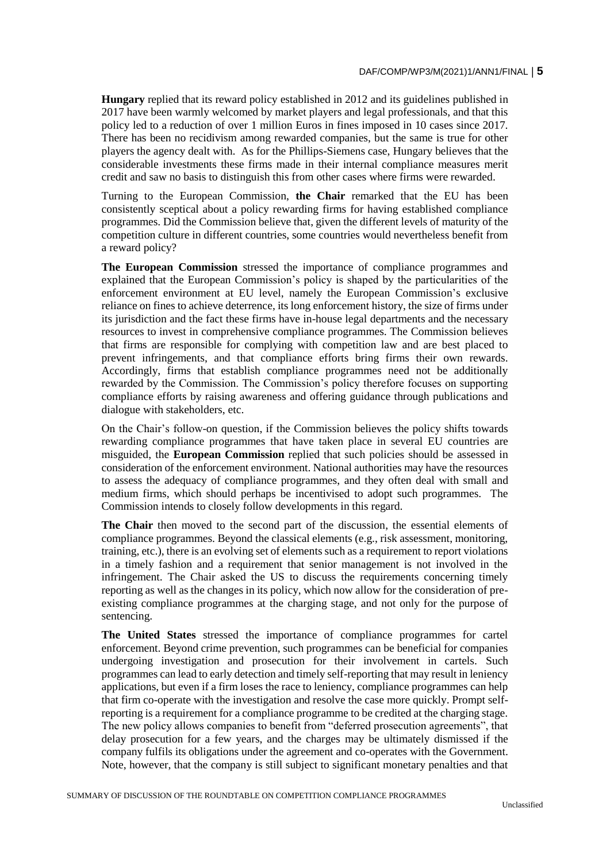**Hungary** replied that its reward policy established in 2012 and its guidelines published in 2017 have been warmly welcomed by market players and legal professionals, and that this policy led to a reduction of over 1 million Euros in fines imposed in 10 cases since 2017. There has been no recidivism among rewarded companies, but the same is true for other players the agency dealt with. As for the Phillips-Siemens case, Hungary believes that the considerable investments these firms made in their internal compliance measures merit credit and saw no basis to distinguish this from other cases where firms were rewarded.

Turning to the European Commission, **the Chair** remarked that the EU has been consistently sceptical about a policy rewarding firms for having established compliance programmes. Did the Commission believe that, given the different levels of maturity of the competition culture in different countries, some countries would nevertheless benefit from a reward policy?

**The European Commission** stressed the importance of compliance programmes and explained that the European Commission's policy is shaped by the particularities of the enforcement environment at EU level, namely the European Commission's exclusive reliance on fines to achieve deterrence, its long enforcement history, the size of firms under its jurisdiction and the fact these firms have in-house legal departments and the necessary resources to invest in comprehensive compliance programmes. The Commission believes that firms are responsible for complying with competition law and are best placed to prevent infringements, and that compliance efforts bring firms their own rewards. Accordingly, firms that establish compliance programmes need not be additionally rewarded by the Commission. The Commission's policy therefore focuses on supporting compliance efforts by raising awareness and offering guidance through publications and dialogue with stakeholders, etc.

On the Chair's follow-on question, if the Commission believes the policy shifts towards rewarding compliance programmes that have taken place in several EU countries are misguided, the **European Commission** replied that such policies should be assessed in consideration of the enforcement environment. National authorities may have the resources to assess the adequacy of compliance programmes, and they often deal with small and medium firms, which should perhaps be incentivised to adopt such programmes. The Commission intends to closely follow developments in this regard.

**The Chair** then moved to the second part of the discussion, the essential elements of compliance programmes. Beyond the classical elements (e.g., risk assessment, monitoring, training, etc.), there is an evolving set of elements such as a requirement to report violations in a timely fashion and a requirement that senior management is not involved in the infringement. The Chair asked the US to discuss the requirements concerning timely reporting as well as the changes in its policy, which now allow for the consideration of preexisting compliance programmes at the charging stage, and not only for the purpose of sentencing.

**The United States** stressed the importance of compliance programmes for cartel enforcement. Beyond crime prevention, such programmes can be beneficial for companies undergoing investigation and prosecution for their involvement in cartels. Such programmes can lead to early detection and timely self-reporting that may result in leniency applications, but even if a firm loses the race to leniency, compliance programmes can help that firm co-operate with the investigation and resolve the case more quickly. Prompt selfreporting is a requirement for a compliance programme to be credited at the charging stage. The new policy allows companies to benefit from "deferred prosecution agreements", that delay prosecution for a few years, and the charges may be ultimately dismissed if the company fulfils its obligations under the agreement and co-operates with the Government. Note, however, that the company is still subject to significant monetary penalties and that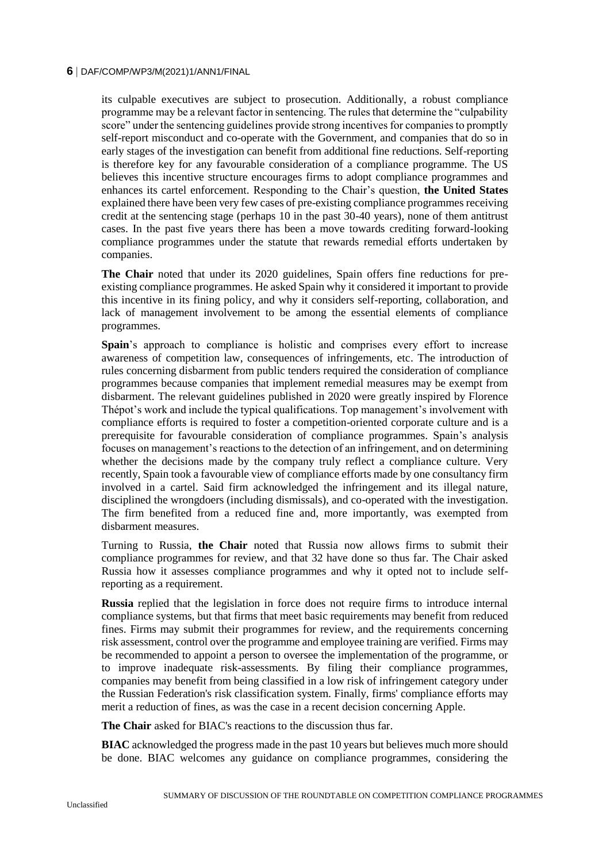its culpable executives are subject to prosecution. Additionally, a robust compliance programme may be a relevant factor in sentencing. The rules that determine the "culpability score" under the sentencing guidelines provide strong incentives for companies to promptly self-report misconduct and co-operate with the Government, and companies that do so in early stages of the investigation can benefit from additional fine reductions. Self-reporting is therefore key for any favourable consideration of a compliance programme. The US believes this incentive structure encourages firms to adopt compliance programmes and enhances its cartel enforcement. Responding to the Chair's question, **the United States**  explained there have been very few cases of pre-existing compliance programmes receiving credit at the sentencing stage (perhaps 10 in the past 30-40 years), none of them antitrust cases. In the past five years there has been a move towards crediting forward-looking compliance programmes under the statute that rewards remedial efforts undertaken by companies.

**The Chair** noted that under its 2020 guidelines, Spain offers fine reductions for preexisting compliance programmes. He asked Spain why it considered it important to provide this incentive in its fining policy, and why it considers self-reporting, collaboration, and lack of management involvement to be among the essential elements of compliance programmes.

**Spain**'s approach to compliance is holistic and comprises every effort to increase awareness of competition law, consequences of infringements, etc. The introduction of rules concerning disbarment from public tenders required the consideration of compliance programmes because companies that implement remedial measures may be exempt from disbarment. The relevant guidelines published in 2020 were greatly inspired by Florence Thépot's work and include the typical qualifications. Top management's involvement with compliance efforts is required to foster a competition-oriented corporate culture and is a prerequisite for favourable consideration of compliance programmes. Spain's analysis focuses on management's reactions to the detection of an infringement, and on determining whether the decisions made by the company truly reflect a compliance culture. Very recently, Spain took a favourable view of compliance efforts made by one consultancy firm involved in a cartel. Said firm acknowledged the infringement and its illegal nature, disciplined the wrongdoers (including dismissals), and co-operated with the investigation. The firm benefited from a reduced fine and, more importantly, was exempted from disbarment measures.

Turning to Russia, **the Chair** noted that Russia now allows firms to submit their compliance programmes for review, and that 32 have done so thus far. The Chair asked Russia how it assesses compliance programmes and why it opted not to include selfreporting as a requirement.

**Russia** replied that the legislation in force does not require firms to introduce internal compliance systems, but that firms that meet basic requirements may benefit from reduced fines. Firms may submit their programmes for review, and the requirements concerning risk assessment, control over the programme and employee training are verified. Firms may be recommended to appoint a person to oversee the implementation of the programme, or to improve inadequate risk-assessments. By filing their compliance programmes, companies may benefit from being classified in a low risk of infringement category under the Russian Federation's risk classification system. Finally, firms' compliance efforts may merit a reduction of fines, as was the case in a recent decision concerning Apple.

**The Chair** asked for BIAC's reactions to the discussion thus far.

**BIAC** acknowledged the progress made in the past 10 years but believes much more should be done. BIAC welcomes any guidance on compliance programmes, considering the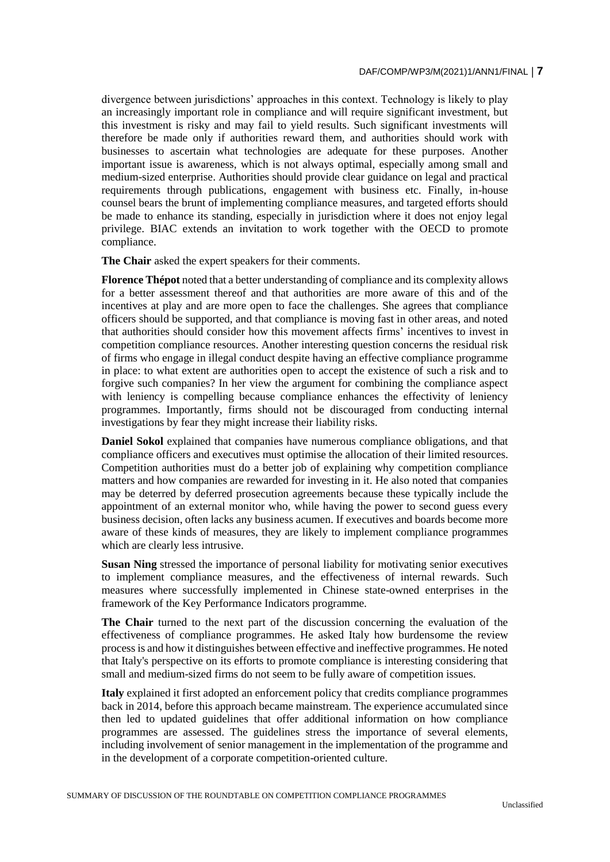divergence between jurisdictions' approaches in this context. Technology is likely to play an increasingly important role in compliance and will require significant investment, but this investment is risky and may fail to yield results. Such significant investments will therefore be made only if authorities reward them, and authorities should work with businesses to ascertain what technologies are adequate for these purposes. Another important issue is awareness, which is not always optimal, especially among small and medium-sized enterprise. Authorities should provide clear guidance on legal and practical requirements through publications, engagement with business etc. Finally, in-house counsel bears the brunt of implementing compliance measures, and targeted efforts should be made to enhance its standing, especially in jurisdiction where it does not enjoy legal privilege. BIAC extends an invitation to work together with the OECD to promote compliance.

**The Chair** asked the expert speakers for their comments.

**Florence Thépot** noted that a better understanding of compliance and its complexity allows for a better assessment thereof and that authorities are more aware of this and of the incentives at play and are more open to face the challenges. She agrees that compliance officers should be supported, and that compliance is moving fast in other areas, and noted that authorities should consider how this movement affects firms' incentives to invest in competition compliance resources. Another interesting question concerns the residual risk of firms who engage in illegal conduct despite having an effective compliance programme in place: to what extent are authorities open to accept the existence of such a risk and to forgive such companies? In her view the argument for combining the compliance aspect with leniency is compelling because compliance enhances the effectivity of leniency programmes. Importantly, firms should not be discouraged from conducting internal investigations by fear they might increase their liability risks.

**Daniel Sokol** explained that companies have numerous compliance obligations, and that compliance officers and executives must optimise the allocation of their limited resources. Competition authorities must do a better job of explaining why competition compliance matters and how companies are rewarded for investing in it. He also noted that companies may be deterred by deferred prosecution agreements because these typically include the appointment of an external monitor who, while having the power to second guess every business decision, often lacks any business acumen. If executives and boards become more aware of these kinds of measures, they are likely to implement compliance programmes which are clearly less intrusive.

**Susan Ning** stressed the importance of personal liability for motivating senior executives to implement compliance measures, and the effectiveness of internal rewards. Such measures where successfully implemented in Chinese state-owned enterprises in the framework of the Key Performance Indicators programme.

**The Chair** turned to the next part of the discussion concerning the evaluation of the effectiveness of compliance programmes. He asked Italy how burdensome the review process is and how it distinguishes between effective and ineffective programmes. He noted that Italy's perspective on its efforts to promote compliance is interesting considering that small and medium-sized firms do not seem to be fully aware of competition issues.

**Italy** explained it first adopted an enforcement policy that credits compliance programmes back in 2014, before this approach became mainstream. The experience accumulated since then led to updated guidelines that offer additional information on how compliance programmes are assessed. The guidelines stress the importance of several elements, including involvement of senior management in the implementation of the programme and in the development of a corporate competition-oriented culture.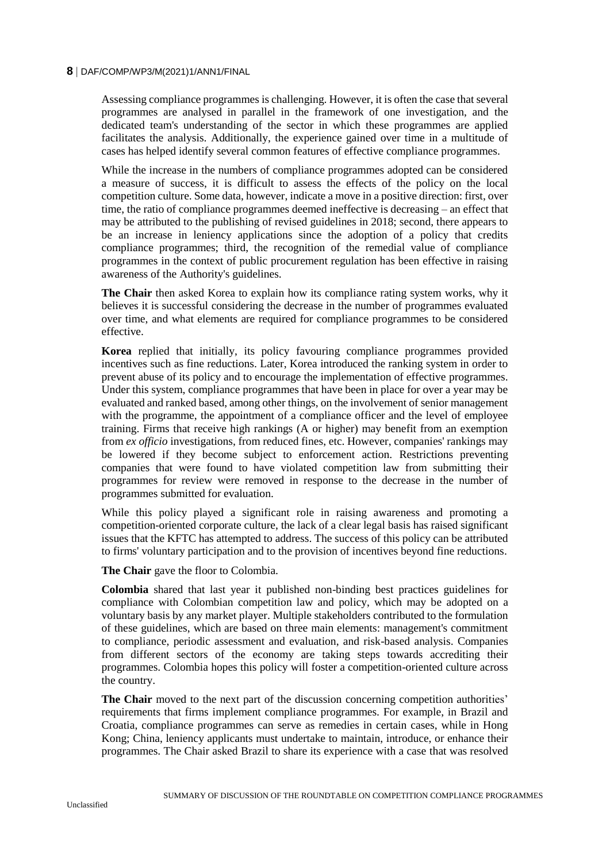Assessing compliance programmes is challenging. However, it is often the case that several programmes are analysed in parallel in the framework of one investigation, and the dedicated team's understanding of the sector in which these programmes are applied facilitates the analysis. Additionally, the experience gained over time in a multitude of cases has helped identify several common features of effective compliance programmes.

While the increase in the numbers of compliance programmes adopted can be considered a measure of success, it is difficult to assess the effects of the policy on the local competition culture. Some data, however, indicate a move in a positive direction: first, over time, the ratio of compliance programmes deemed ineffective is decreasing – an effect that may be attributed to the publishing of revised guidelines in 2018; second, there appears to be an increase in leniency applications since the adoption of a policy that credits compliance programmes; third, the recognition of the remedial value of compliance programmes in the context of public procurement regulation has been effective in raising awareness of the Authority's guidelines.

**The Chair** then asked Korea to explain how its compliance rating system works, why it believes it is successful considering the decrease in the number of programmes evaluated over time, and what elements are required for compliance programmes to be considered effective.

**Korea** replied that initially, its policy favouring compliance programmes provided incentives such as fine reductions. Later, Korea introduced the ranking system in order to prevent abuse of its policy and to encourage the implementation of effective programmes. Under this system, compliance programmes that have been in place for over a year may be evaluated and ranked based, among other things, on the involvement of senior management with the programme, the appointment of a compliance officer and the level of employee training. Firms that receive high rankings (A or higher) may benefit from an exemption from *ex officio* investigations, from reduced fines, etc. However, companies' rankings may be lowered if they become subject to enforcement action. Restrictions preventing companies that were found to have violated competition law from submitting their programmes for review were removed in response to the decrease in the number of programmes submitted for evaluation.

While this policy played a significant role in raising awareness and promoting a competition-oriented corporate culture, the lack of a clear legal basis has raised significant issues that the KFTC has attempted to address. The success of this policy can be attributed to firms' voluntary participation and to the provision of incentives beyond fine reductions.

**The Chair** gave the floor to Colombia.

**Colombia** shared that last year it published non-binding best practices guidelines for compliance with Colombian competition law and policy, which may be adopted on a voluntary basis by any market player. Multiple stakeholders contributed to the formulation of these guidelines, which are based on three main elements: management's commitment to compliance, periodic assessment and evaluation, and risk-based analysis. Companies from different sectors of the economy are taking steps towards accrediting their programmes. Colombia hopes this policy will foster a competition-oriented culture across the country.

The Chair moved to the next part of the discussion concerning competition authorities' requirements that firms implement compliance programmes. For example, in Brazil and Croatia, compliance programmes can serve as remedies in certain cases, while in Hong Kong; China, leniency applicants must undertake to maintain, introduce, or enhance their programmes. The Chair asked Brazil to share its experience with a case that was resolved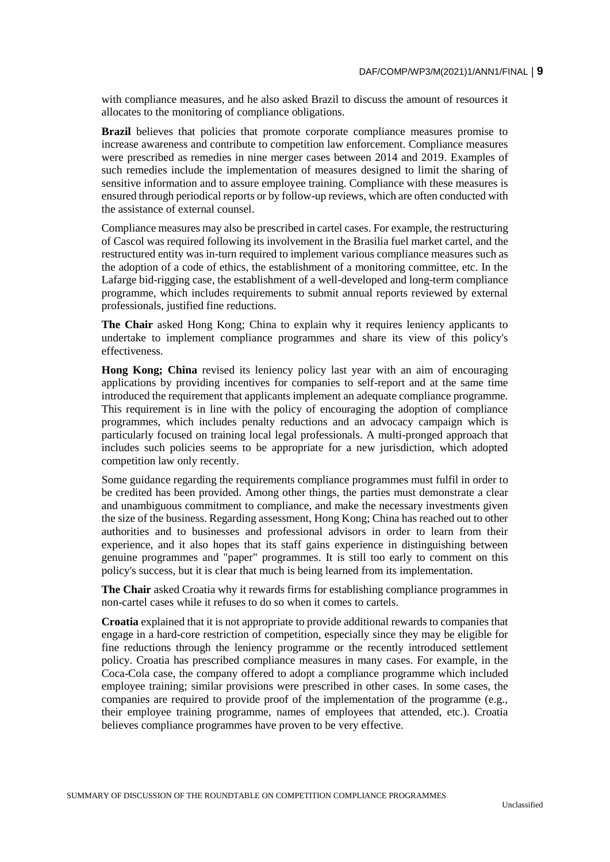with compliance measures, and he also asked Brazil to discuss the amount of resources it allocates to the monitoring of compliance obligations.

**Brazil** believes that policies that promote corporate compliance measures promise to increase awareness and contribute to competition law enforcement. Compliance measures were prescribed as remedies in nine merger cases between 2014 and 2019. Examples of such remedies include the implementation of measures designed to limit the sharing of sensitive information and to assure employee training. Compliance with these measures is ensured through periodical reports or by follow-up reviews, which are often conducted with the assistance of external counsel.

Compliance measures may also be prescribed in cartel cases. For example, the restructuring of Cascol was required following its involvement in the Brasilia fuel market cartel, and the restructured entity was in-turn required to implement various compliance measures such as the adoption of a code of ethics, the establishment of a monitoring committee, etc. In the Lafarge bid-rigging case, the establishment of a well-developed and long-term compliance programme, which includes requirements to submit annual reports reviewed by external professionals, justified fine reductions.

**The Chair** asked Hong Kong; China to explain why it requires leniency applicants to undertake to implement compliance programmes and share its view of this policy's effectiveness.

**Hong Kong; China** revised its leniency policy last year with an aim of encouraging applications by providing incentives for companies to self-report and at the same time introduced the requirement that applicants implement an adequate compliance programme. This requirement is in line with the policy of encouraging the adoption of compliance programmes, which includes penalty reductions and an advocacy campaign which is particularly focused on training local legal professionals. A multi-pronged approach that includes such policies seems to be appropriate for a new jurisdiction, which adopted competition law only recently.

Some guidance regarding the requirements compliance programmes must fulfil in order to be credited has been provided. Among other things, the parties must demonstrate a clear and unambiguous commitment to compliance, and make the necessary investments given the size of the business. Regarding assessment, Hong Kong; China has reached out to other authorities and to businesses and professional advisors in order to learn from their experience, and it also hopes that its staff gains experience in distinguishing between genuine programmes and "paper" programmes. It is still too early to comment on this policy's success, but it is clear that much is being learned from its implementation.

**The Chair** asked Croatia why it rewards firms for establishing compliance programmes in non-cartel cases while it refuses to do so when it comes to cartels.

**Croatia** explained that it is not appropriate to provide additional rewards to companies that engage in a hard-core restriction of competition, especially since they may be eligible for fine reductions through the leniency programme or the recently introduced settlement policy. Croatia has prescribed compliance measures in many cases. For example, in the Coca-Cola case, the company offered to adopt a compliance programme which included employee training; similar provisions were prescribed in other cases. In some cases, the companies are required to provide proof of the implementation of the programme (e.g., their employee training programme, names of employees that attended, etc.). Croatia believes compliance programmes have proven to be very effective.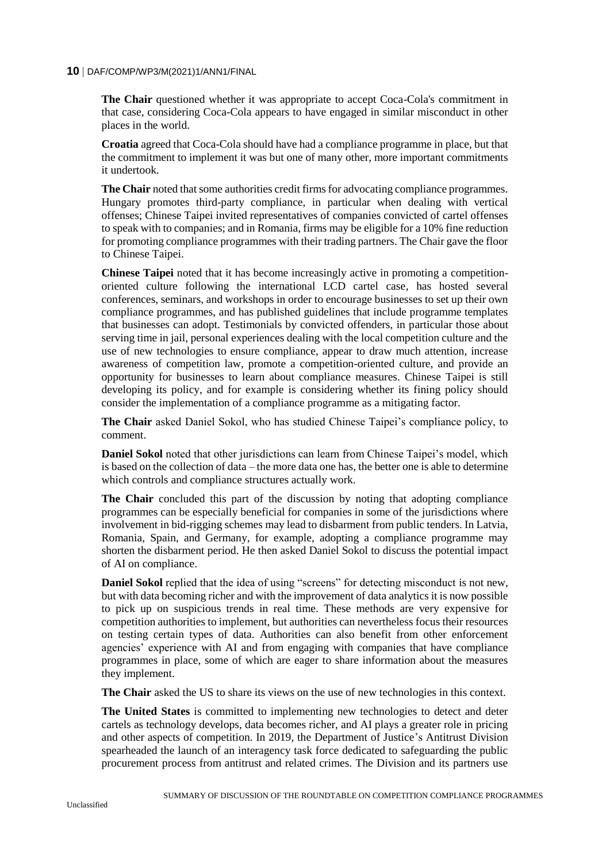**The Chair** questioned whether it was appropriate to accept Coca-Cola's commitment in that case, considering Coca-Cola appears to have engaged in similar misconduct in other places in the world.

**Croatia** agreed that Coca-Cola should have had a compliance programme in place, but that the commitment to implement it was but one of many other, more important commitments it undertook.

**The Chair** noted that some authorities credit firms for advocating compliance programmes. Hungary promotes third-party compliance, in particular when dealing with vertical offenses; Chinese Taipei invited representatives of companies convicted of cartel offenses to speak with to companies; and in Romania, firms may be eligible for a 10% fine reduction for promoting compliance programmes with their trading partners. The Chair gave the floor to Chinese Taipei.

**Chinese Taipei** noted that it has become increasingly active in promoting a competitionoriented culture following the international LCD cartel case, has hosted several conferences, seminars, and workshops in order to encourage businesses to set up their own compliance programmes, and has published guidelines that include programme templates that businesses can adopt. Testimonials by convicted offenders, in particular those about serving time in jail, personal experiences dealing with the local competition culture and the use of new technologies to ensure compliance, appear to draw much attention, increase awareness of competition law, promote a competition-oriented culture, and provide an opportunity for businesses to learn about compliance measures. Chinese Taipei is still developing its policy, and for example is considering whether its fining policy should consider the implementation of a compliance programme as a mitigating factor.

**The Chair** asked Daniel Sokol, who has studied Chinese Taipei's compliance policy, to comment.

**Daniel Sokol** noted that other jurisdictions can learn from Chinese Taipei's model, which is based on the collection of data – the more data one has, the better one is able to determine which controls and compliance structures actually work.

**The Chair** concluded this part of the discussion by noting that adopting compliance programmes can be especially beneficial for companies in some of the jurisdictions where involvement in bid-rigging schemes may lead to disbarment from public tenders. In Latvia, Romania, Spain, and Germany, for example, adopting a compliance programme may shorten the disbarment period. He then asked Daniel Sokol to discuss the potential impact of AI on compliance.

**Daniel Sokol** replied that the idea of using "screens" for detecting misconduct is not new, but with data becoming richer and with the improvement of data analytics it is now possible to pick up on suspicious trends in real time. These methods are very expensive for competition authorities to implement, but authorities can nevertheless focus their resources on testing certain types of data. Authorities can also benefit from other enforcement agencies' experience with AI and from engaging with companies that have compliance programmes in place, some of which are eager to share information about the measures they implement.

**The Chair** asked the US to share its views on the use of new technologies in this context.

**The United States** is committed to implementing new technologies to detect and deter cartels as technology develops, data becomes richer, and AI plays a greater role in pricing and other aspects of competition. In 2019, the Department of Justice's Antitrust Division spearheaded the launch of an interagency task force dedicated to safeguarding the public procurement process from antitrust and related crimes. The Division and its partners use